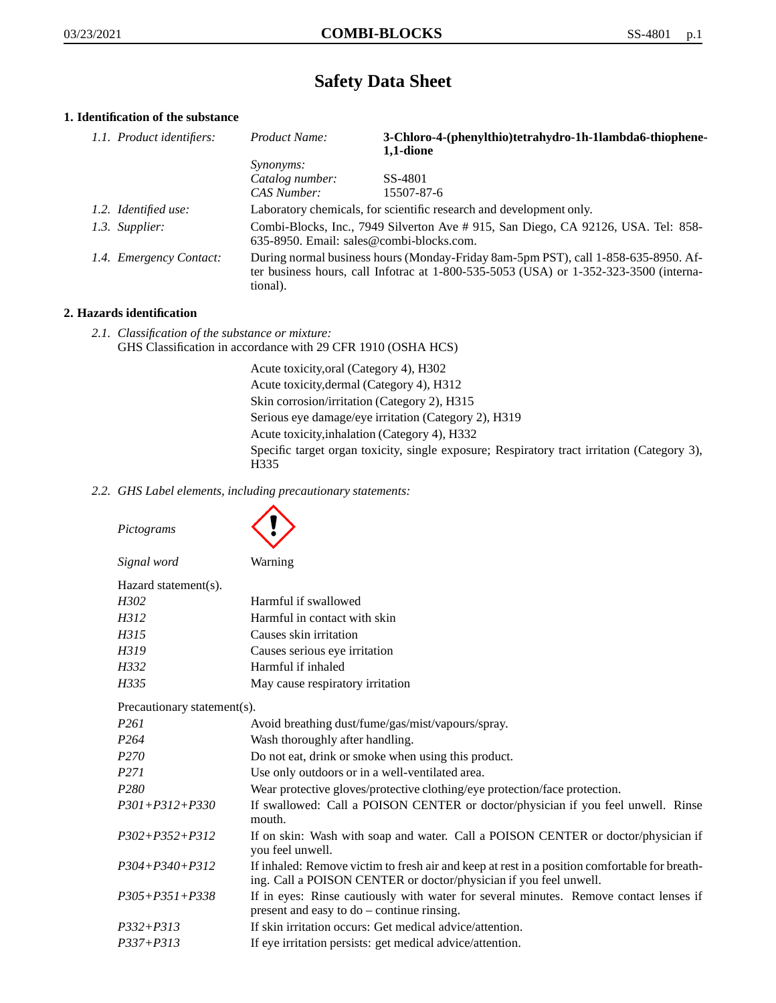# **Safety Data Sheet**

# **1. Identification of the substance**

| 1.1. Product identifiers: | Product Name:                                                                                                                                                                           | 3-Chloro-4-(phenylthio)tetrahydro-1h-1lambda6-thiophene- |
|---------------------------|-----------------------------------------------------------------------------------------------------------------------------------------------------------------------------------------|----------------------------------------------------------|
|                           | <i>Synonyms:</i>                                                                                                                                                                        | 1,1-dione                                                |
|                           | Catalog number:                                                                                                                                                                         | SS-4801                                                  |
|                           | CAS Number:                                                                                                                                                                             | 15507-87-6                                               |
| 1.2. Identified use:      | Laboratory chemicals, for scientific research and development only.                                                                                                                     |                                                          |
| 1.3. Supplier:            | Combi-Blocks, Inc., 7949 Silverton Ave # 915, San Diego, CA 92126, USA. Tel: 858-<br>635-8950. Email: sales@combi-blocks.com.                                                           |                                                          |
| 1.4. Emergency Contact:   | During normal business hours (Monday-Friday 8am-5pm PST), call 1-858-635-8950. Af-<br>ter business hours, call Infotrac at 1-800-535-5053 (USA) or 1-352-323-3500 (interna-<br>tional). |                                                          |

# **2. Hazards identification**

*2.1. Classification of the substance or mixture:* GHS Classification in accordance with 29 CFR 1910 (OSHA HCS)

> Acute toxicity,oral (Category 4), H302 Acute toxicity,dermal (Category 4), H312 Skin corrosion/irritation (Category 2), H315 Serious eye damage/eye irritation (Category 2), H319 Acute toxicity,inhalation (Category 4), H332 Specific target organ toxicity, single exposure; Respiratory tract irritation (Category 3), H335

*2.2. GHS Label elements, including precautionary statements:*

| Pictograms                  |                                                                                                                                                                    |
|-----------------------------|--------------------------------------------------------------------------------------------------------------------------------------------------------------------|
| Signal word                 | Warning                                                                                                                                                            |
| Hazard statement(s).        |                                                                                                                                                                    |
| H302                        | Harmful if swallowed                                                                                                                                               |
| H312                        | Harmful in contact with skin                                                                                                                                       |
| H315                        | Causes skin irritation                                                                                                                                             |
| H319                        | Causes serious eye irritation                                                                                                                                      |
| H332                        | Harmful if inhaled                                                                                                                                                 |
| H335                        | May cause respiratory irritation                                                                                                                                   |
| Precautionary statement(s). |                                                                                                                                                                    |
| P <sub>261</sub>            | Avoid breathing dust/fume/gas/mist/vapours/spray.                                                                                                                  |
| P <sub>264</sub>            | Wash thoroughly after handling.                                                                                                                                    |
| P <sub>270</sub>            | Do not eat, drink or smoke when using this product.                                                                                                                |
| P <sub>271</sub>            | Use only outdoors or in a well-ventilated area.                                                                                                                    |
| P <sub>280</sub>            | Wear protective gloves/protective clothing/eye protection/face protection.                                                                                         |
| $P301 + P312 + P330$        | If swallowed: Call a POISON CENTER or doctor/physician if you feel unwell. Rinse<br>mouth.                                                                         |
| $P302 + P352 + P312$        | If on skin: Wash with soap and water. Call a POISON CENTER or doctor/physician if<br>you feel unwell.                                                              |
| $P304 + P340 + P312$        | If inhaled: Remove victim to fresh air and keep at rest in a position comfortable for breath-<br>ing. Call a POISON CENTER or doctor/physician if you feel unwell. |
| $P305 + P351 + P338$        | If in eyes: Rinse cautiously with water for several minutes. Remove contact lenses if<br>present and easy to $do$ – continue rinsing.                              |
| $P332 + P313$               | If skin irritation occurs: Get medical advice/attention.                                                                                                           |
| $P337 + P313$               | If eye irritation persists: get medical advice/attention.                                                                                                          |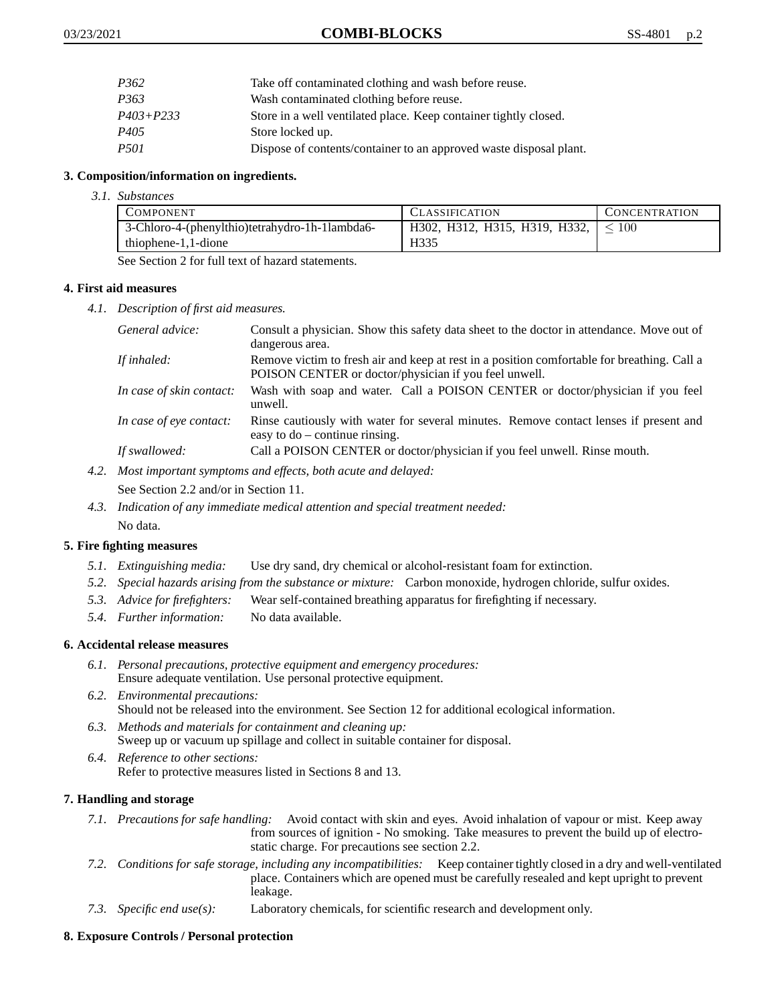| P362             | Take off contaminated clothing and wash before reuse.              |
|------------------|--------------------------------------------------------------------|
| P <sub>363</sub> | Wash contaminated clothing before reuse.                           |
| $P403 + P233$    | Store in a well ventilated place. Keep container tightly closed.   |
| P <sub>405</sub> | Store locked up.                                                   |
| <i>P501</i>      | Dispose of contents/container to an approved waste disposal plant. |

## **3. Composition/information on ingredients.**

*3.1. Substances*

| <b>COMPONENT</b>                               | <b>CLASSIFICATION</b>                       | <b>CONCENTRATION</b> |
|------------------------------------------------|---------------------------------------------|----------------------|
| 3-Chloro-4-(phenylthio)tetrahydro-1h-1lambda6- | H302, H312, H315, H319, H332, $\vert$ < 100 |                      |
| thiophene-1,1-dione                            | H335                                        |                      |

See Section 2 for full text of hazard statements.

### **4. First aid measures**

*4.1. Description of first aid measures.*

| General advice:          | Consult a physician. Show this safety data sheet to the doctor in attendance. Move out of<br>dangerous area.                                         |
|--------------------------|------------------------------------------------------------------------------------------------------------------------------------------------------|
| If inhaled:              | Remove victim to fresh air and keep at rest in a position comfortable for breathing. Call a<br>POISON CENTER or doctor/physician if you feel unwell. |
| In case of skin contact: | Wash with soap and water. Call a POISON CENTER or doctor/physician if you feel<br>unwell.                                                            |
| In case of eye contact:  | Rinse cautiously with water for several minutes. Remove contact lenses if present and<br>easy to $do$ – continue rinsing.                            |
| If swallowed:            | Call a POISON CENTER or doctor/physician if you feel unwell. Rinse mouth.                                                                            |

*4.2. Most important symptoms and effects, both acute and delayed:*

See Section 2.2 and/or in Section 11.

*4.3. Indication of any immediate medical attention and special treatment needed:* No data.

## **5. Fire fighting measures**

- *5.1. Extinguishing media:* Use dry sand, dry chemical or alcohol-resistant foam for extinction.
- *5.2. Special hazards arising from the substance or mixture:* Carbon monoxide, hydrogen chloride, sulfur oxides.
- *5.3. Advice for firefighters:* Wear self-contained breathing apparatus for firefighting if necessary.
- *5.4. Further information:* No data available.

## **6. Accidental release measures**

- *6.1. Personal precautions, protective equipment and emergency procedures:* Ensure adequate ventilation. Use personal protective equipment.
- *6.2. Environmental precautions:* Should not be released into the environment. See Section 12 for additional ecological information.
- *6.3. Methods and materials for containment and cleaning up:* Sweep up or vacuum up spillage and collect in suitable container for disposal.
- *6.4. Reference to other sections:* Refer to protective measures listed in Sections 8 and 13.

## **7. Handling and storage**

- *7.1. Precautions for safe handling:* Avoid contact with skin and eyes. Avoid inhalation of vapour or mist. Keep away from sources of ignition - No smoking. Take measures to prevent the build up of electrostatic charge. For precautions see section 2.2.
- *7.2. Conditions for safe storage, including any incompatibilities:* Keep container tightly closed in a dry and well-ventilated place. Containers which are opened must be carefully resealed and kept upright to prevent leakage.
- *7.3. Specific end use(s):* Laboratory chemicals, for scientific research and development only.

## **8. Exposure Controls / Personal protection**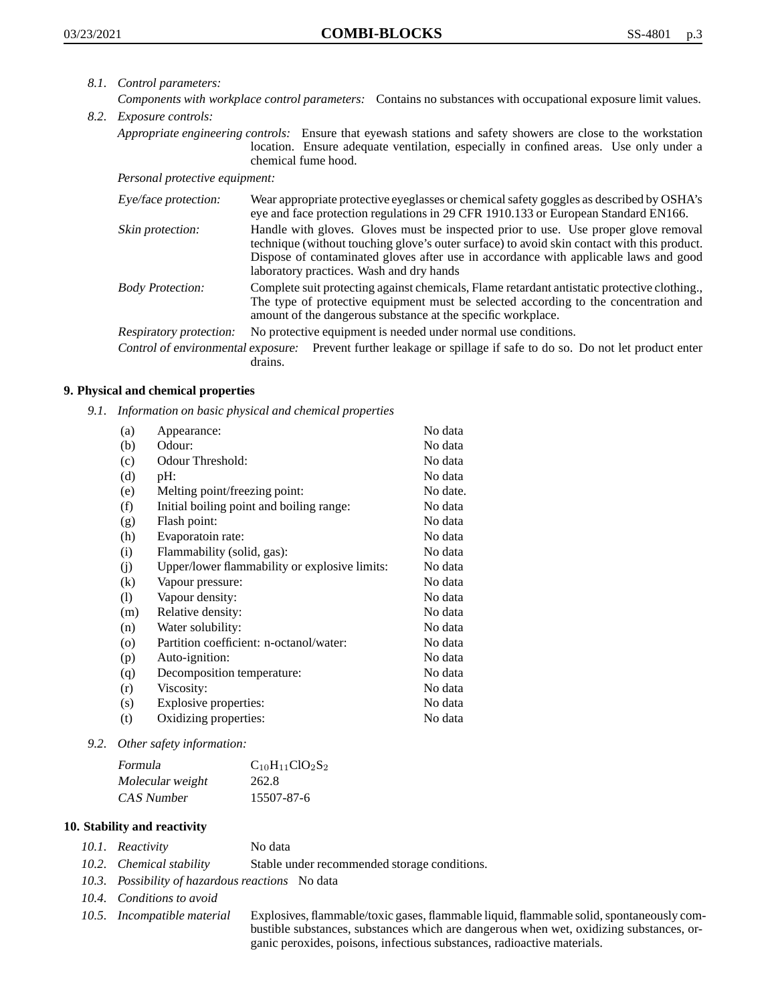- *8.1. Control parameters:*
- *Components with workplace control parameters:* Contains no substances with occupational exposure limit values. *8.2. Exposure controls:*
	- *Appropriate engineering controls:* Ensure that eyewash stations and safety showers are close to the workstation location. Ensure adequate ventilation, especially in confined areas. Use only under a chemical fume hood.

*Personal protective equipment:*

| Eye/face protection:    | Wear appropriate protective eyeglasses or chemical safety goggles as described by OSHA's<br>eye and face protection regulations in 29 CFR 1910.133 or European Standard EN166.                                                                                                                                         |
|-------------------------|------------------------------------------------------------------------------------------------------------------------------------------------------------------------------------------------------------------------------------------------------------------------------------------------------------------------|
| Skin protection:        | Handle with gloves. Gloves must be inspected prior to use. Use proper glove removal<br>technique (without touching glove's outer surface) to avoid skin contact with this product.<br>Dispose of contaminated gloves after use in accordance with applicable laws and good<br>laboratory practices. Wash and dry hands |
| <b>Body Protection:</b> | Complete suit protecting against chemicals, Flame retardant antistatic protective clothing.<br>The type of protective equipment must be selected according to the concentration and<br>amount of the dangerous substance at the specific workplace.                                                                    |
| Respiratory protection: | No protective equipment is needed under normal use conditions.                                                                                                                                                                                                                                                         |
|                         |                                                                                                                                                                                                                                                                                                                        |

Control of environmental exposure: Prevent further leakage or spillage if safe to do so. Do not let product enter drains.

## **9. Physical and chemical properties**

*9.1. Information on basic physical and chemical properties*

| (a)                        | Appearance:                                   | No data  |
|----------------------------|-----------------------------------------------|----------|
| (b)                        | Odour:                                        | No data  |
| (c)                        | Odour Threshold:                              | No data  |
| (d)                        | $pH$ :                                        | No data  |
| (e)                        | Melting point/freezing point:                 | No date. |
| (f)                        | Initial boiling point and boiling range:      | No data  |
| (g)                        | Flash point:                                  | No data  |
| (h)                        | Evaporatoin rate:                             | No data  |
| (i)                        | Flammability (solid, gas):                    | No data  |
| (j)                        | Upper/lower flammability or explosive limits: | No data  |
| $\left( k\right)$          | Vapour pressure:                              | No data  |
| $\left( \mathrm{l}\right)$ | Vapour density:                               | No data  |
| (m)                        | Relative density:                             | No data  |
| (n)                        | Water solubility:                             | No data  |
| $\circ$                    | Partition coefficient: n-octanol/water:       | No data  |
| (p)                        | Auto-ignition:                                | No data  |
| (q)                        | Decomposition temperature:                    | No data  |
| (r)                        | Viscosity:                                    | No data  |
| (s)                        | Explosive properties:                         | No data  |
| (t)                        | Oxidizing properties:                         | No data  |
|                            |                                               |          |

*9.2. Other safety information:*

| Formula          | $C_{10}H_{11}ClO_2S_2$ |
|------------------|------------------------|
| Molecular weight | 262.8                  |
| CAS Number       | 15507-87-6             |

## **10. Stability and reactivity**

*10.1. Reactivity* No data

- *10.2. Chemical stability* Stable under recommended storage conditions.
- *10.3. Possibility of hazardous reactions* No data
- *10.4. Conditions to avoid*
- 

*10.5. Incompatible material* Explosives, flammable/toxic gases, flammable liquid, flammable solid, spontaneously combustible substances, substances which are dangerous when wet, oxidizing substances, organic peroxides, poisons, infectious substances, radioactive materials.